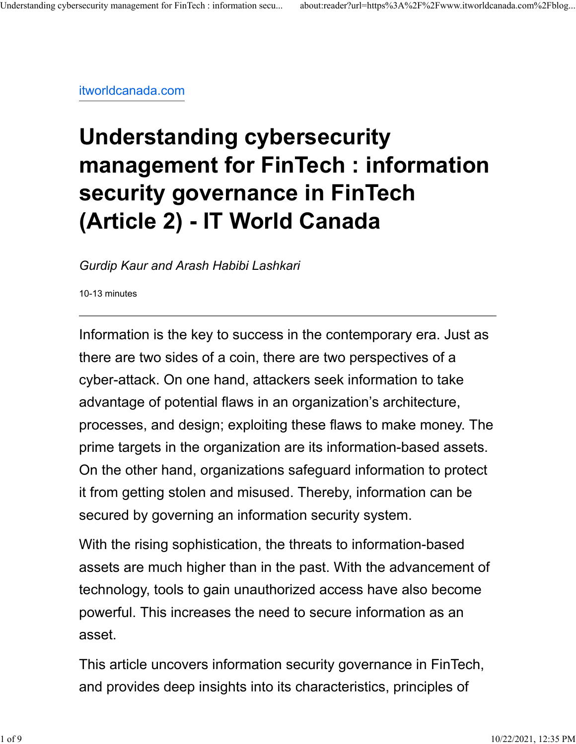[itworldcanada.com](https://www.itworldcanada.com/blog/understanding-cybersecurity-management-for-fintech-information-security-governance-in-fintech-article-2/459010)

## **Understanding cybersecurity management for FinTech : information security governance in FinTech (Article 2) - IT World Canada**

*Gurdip Kaur and Arash Habibi Lashkari*

10-13 minutes

Information is the key to success in the contemporary era. Just as there are two sides of a coin, there are two perspectives of a cyber-attack. On one hand, attackers seek information to take advantage of potential flaws in an organization's architecture, processes, and design; exploiting these flaws to make money. The prime targets in the organization are its information-based assets. On the other hand, organizations safeguard information to protect it from getting stolen and misused. Thereby, information can be secured by governing an information security system.

With the rising sophistication, the threats to information-based assets are much higher than in the past. With the advancement of technology, tools to gain unauthorized access have also become powerful. This increases the need to secure information as an asset.

This article uncovers information security governance in FinTech, and provides deep insights into its characteristics, principles of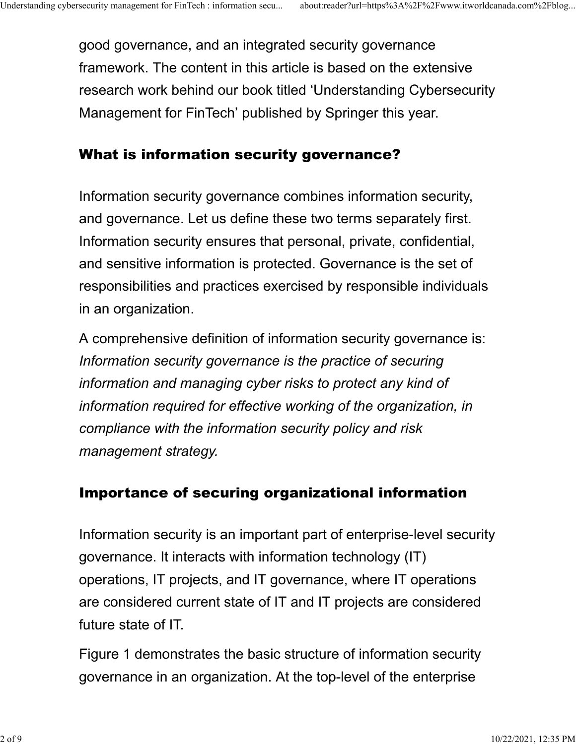good governance, and an integrated security governance framework. The content in this article is based on the extensive research work behind our book titled 'Understanding Cybersecurity Management for FinTech' published by Springer this year.

## What is information security governance?

Information security governance combines information security, and governance. Let us define these two terms separately first. Information security ensures that personal, private, confidential, and sensitive information is protected. Governance is the set of responsibilities and practices exercised by responsible individuals in an organization.

A comprehensive definition of information security governance is: *Information security governance is the practice of securing information and managing cyber risks to protect any kind of information required for effective working of the organization, in compliance with the information security policy and risk management strategy.*

## Importance of securing organizational information

Information security is an important part of enterprise-level security governance. It interacts with information technology (IT) operations, IT projects, and IT governance, where IT operations are considered current state of IT and IT projects are considered future state of IT.

Figure 1 demonstrates the basic structure of information security governance in an organization. At the top-level of the enterprise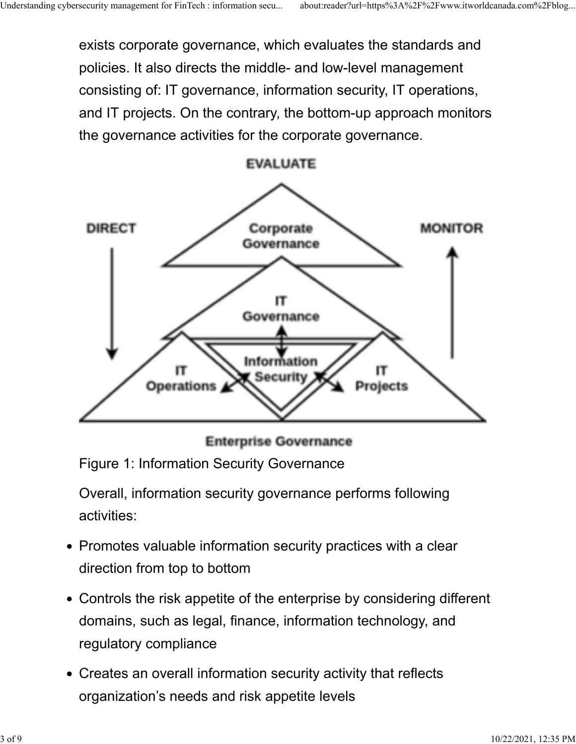exists corporate governance, which evaluates the standards and policies. It also directs the middle- and low-level management consisting of: IT governance, information security, IT operations, and IT projects. On the contrary, the bottom-up approach monitors the governance activities for the corporate governance.



**EVALUATE** 

**Enterprise Governance** 

Figure 1: Information Security Governance

Overall, information security governance performs following activities:

- Promotes valuable information security practices with a clear direction from top to bottom
- Controls the risk appetite of the enterprise by considering different domains, such as legal, finance, information technology, and regulatory compliance
- Creates an overall information security activity that reflects organization's needs and risk appetite levels